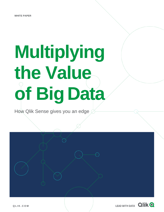# **Multiplying the Value of Big Data**

How Qlik Sense gives you an edge

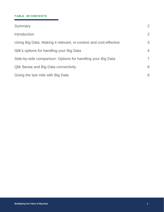## **TABLE OF CONTENTS**

| Summary                                                           | $\overline{2}$ |
|-------------------------------------------------------------------|----------------|
| Introduction                                                      | $\overline{2}$ |
| Using Big Data: Making it relevant, in-context and cost-effective | 3              |
| Qlik's options for handling your Big Data                         | $\overline{4}$ |
| Side-by-side comparison: Options for handling your Big Data       | $\overline{7}$ |
| <b>Qlik Sense and Big Data connectivity</b>                       | 8              |
| Going the last mile with Big Data                                 | 8              |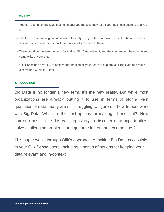#### **SUMMARY**

- You can't get all of Big Data's benefits until you make it easy for all your business users to analyze it.
- The key to empowering business users to analyze Big Data is to make it easy for them to access this information and then show them only what's relevant to them.
- There could be multiple methods for making Big Data relevant, and they depend on the volume and complexity of your data.
- Qlik Sense has a variety of options for enabling all your users to explore your Big Data and make discoveries within it — fast.

## **INTRODUCTION**

Big Data is no longer a new term, it's the new reality. But while most organizations are already putting it to use in terms of storing vast quantities of data, many are still struggling to figure out how to best work with Big Data. What are the best options for making it beneficial? How can one best utilize this vast repository to discover new opportunities, solve challenging problems and get an edge on their competitors?

This paper walks through Qlik's approach to making Big Data accessible to your Qlik Sense users, including a series of options for keeping your data relevant and in-context.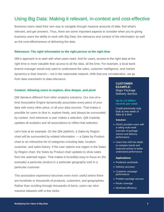# <span id="page-3-0"></span>Using Big Data: Making it relevant, in-context and cost-effective

Business users need their own way to navigate through massive amounts of data, find what's relevant, and get answers. Thus, there are some important aspects to consider when you're giving business users the ability to work with Big Data: the relevance and context of the information as well as the cost-effectiveness of delivering the data.

## **Relevance: The right information to the right person at the right time**

Qlik's approach is to start with what users need. And for users, access to the right data at the right time is more valuable than access to all the data, all the time. For example, a local bank branch manager would only want to understand the sales, customer intelligence, and market dynamics in their branch— not in the nationwide network. With that one consideration, we go from data overwhelm to data relevance.

## **Context: Allowing users to explore, dive deeper, and pivot**

Qlik Sense is different from other analytics solutions. Our one-of-akind Associative Engine dynamically associates every piece of your data with every other piece, in all your data sources. That makes it possible for users to dive in, explore freely, and always be surrounded by context. And whenever a user makes a selection, Qlik instantly updates all analytics and all associations to reflect that selection.

Let's look at an example. On the Qlik platform, a Sales by Region chart will be surrounded by related information — a Sales by Product chart or an interactive list of categories including date, location, customer, and sales history. If the user selects one region in the Sales by Region chart, the Sales by Product chart updates to show sales from the selected region. That makes it incredibly easy to focus on (for example) a particular product in a particular geography sold to a particular customer.

This associative experience becomes even more useful where there are hundreds or thousands of products, customers, and geographies. Rather than scrolling through thousands of items, users can slice massive datasets with a few clicks.

#### **CUSTOMER EXAMPLE:** Major Package

Delivery Service

## **Up to 1.6 billion records per week**

Could previously only look at one week of data at a time

#### **Solution:**

- ODAG provides users with a rolling multi-week overview of package volume and delivery performance.
- Users then drill into detail to compare trends and seasonal activity to better understand performance

#### **Applications:**

- Predictive workloads
- Delivery accuracy
- Customer campaign performance
- Problem package sources
- Route coverage
- Workload efficiency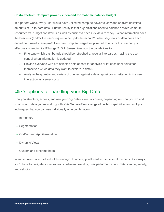## **Cost-effective: Compute power vs. demand for real-time data vs. budget**

In a perfect world, every user would have unlimited compute power to view and analyze unlimited amounts of up-to-date data. But the reality is that organizations need to balance desired compute resources vs. budget constraints as well as business needs vs. data recency. What information does the business (and/or the user) require to be up-to-the minute? What segments of data does each department need to analyze? How can compute usage be optimized to ensure the company is effectively spending its IT budget? Qlik Sense gives you the capabilities to:

- Fine-tune which dashboards should be refreshed at regular intervals vs. having the user control when information is updated.
- Provide everyone with pre-selected sets of data for analysis or let each user select for themselves which data they want to explore in detail.
- Analyze the quantity and variety of queries against a data repository to better optimize user interaction vs. server costs

# <span id="page-4-0"></span>Qlik's options for handling your Big Data

How you structure, access, and use your Big Data differs, of course, depending on what you do and what type of data you're working with. Qlik Sense offers a range of built-in capabilities and multiple techniques that you can use individually or in combination:

- In-memory
- Segmentation
- On-Demand App Generation
- Dynamic Views
- Custom and other methods

In some cases, one method will be enough. In others, you'll want to use several methods. As always, you'll have to navigate some tradeoffs between flexibility; user performance; and data volume, variety, and velocity.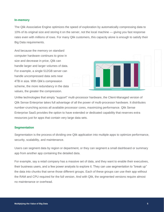## **In-memory**

The Qlik Associative Engine optimizes the speed of exploration by automatically compressing data to 10% of its original size and storing it on the server, not the local machine — giving you fast response rates even with millions of rows. For many Qlik customers, this capacity alone is enough to satisfy their Big Data requirements.

And because the memory on standard computer hardware continues to grow in size and decrease in price, Qlik can handle larger and larger volumes of data. For example, a single 512GB server can handle uncompressed data sets near 4TB in size. With Qlik's compression scheme, the more redundancy in the data values, the greater the compression.



Unlike technologies that simply "support" multi-processor hardware, the Client-Managed version of Qlik Sense Enterprise takes full advantage of all the power of multi-processor hardware. It distributes number-crunching across all available processor cores, maximizing performance. Qlik Sense Enterprise SaaS provides the option to have extended or dedicated capability that reserves extra resources just for apps that contain very large data sets.

## **Segmentation**

Segmentation is the process of dividing one Qlik application into multiple apps to optimize performance, security, scalability, and maintenance.

Users can segment data by region or department, or they can segment a small dashboard or summary app from another app containing the detailed data.

For example, say a retail company has a massive set of data, and they want to enable their executives, their business users, and a few power analysts to explore it. They can use segmentation to "break up" the data into chunks that serve those different groups. Each of these groups can use their app without the RAM and CPU required for the full version. And with Qlik, the segmented versions require almost no maintenance or overhead.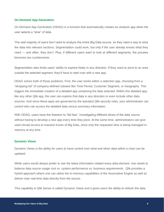## **On-Demand App Generation**

On-Demand App Generation (ODAG) is a function that automatically creates an analysis app when the user selects a "slice" of data.

The vast majority of users don't want to analyze the entire Big Data source, so they need a way to slice the data into relevant sections. Segmentation could work, but only if the user already knows what they need — and often, they don't. Plus, if different users want to look at different segments, the process becomes too cumbersome.

Segmentation also limits users' ability to explore freely in any direction. If they want to pivot to an area outside the selected segment, they'll have to start over with a new app.

ODAG solves both of those problems. First, the user works within a selection app, choosing from a "shopping list" of company-defined subsets like Time Period, Customer Segment, or Geography. This triggers the immediate creation of a detailed app containing the data selected. Within this detailed app, like any other Qlik app, the user can explore that data in any direction or even include other data sources. And since these apps are governed by the standard Qlik security rules, your administrator can control who can access the detailed data versus summary information.

With ODAG, users have the freedom to "fail fast," investigating different slices of the data source without having to develop a new app every time they pivot. At the same time, administrators can give users broad access to massive troves of Big Data, since only the requested slice is being managed inmemory at any time.

## **Dynamic Views**

Dynamic Views is the ability for users to have control over what and when data within a chart can be updated.

While users would always prefer to see the latest information related every data element, one needs to balance data source usage cost vs. system performance vs. business requirements. Qlik provides a hybrid approach where one can utilize the in-memory capabilities of the Associative Engine as well as deliver near real-time data directly from the source.

This capability in Qlik Sense is called Dynamic Views and it gives users the ability to refresh the data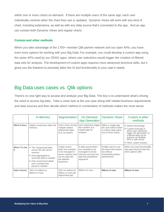within one or more charts on-demand. If there are multiple users of the same app, each user individually controls when the chart they see is updated. Dynamic Views will work with any kind of chart, including extensions, as well as with any data source that's connected to the app. And an app can contain both Dynamic Views and regular charts.

## **Custom and other methods**

When you take advantage of the 1700+ member Qlik partner network and our open APIs, you have even more options for working with your Big Data. For example, you could develop a custom app using the same APIs used by our ODAG apps, where user selections would trigger the creation of filtered data sets for analysis. The development of custom apps requires more advanced technical skills, but it gives you the freedom to precisely tailor the UI and functionality to your user's needs.

# <span id="page-7-0"></span>Big Data uses cases vs. Qlik options

There's no one right way to access and analyze your Big Data. The key is to understand what's driving the need to access big data. Take a close look at the use case along with related business requirements and data sources and then decide which method or combination of methods makes the most sense.

|                          | In-Memory                                                                                                                                                                             | Segmentation                                                                                                                  | On-Demand<br><b>App Generation</b>                                                                                          | <b>Dynamic Views</b>                                                                               | Custom & other<br>methods                                                                                                                                                                                |
|--------------------------|---------------------------------------------------------------------------------------------------------------------------------------------------------------------------------------|-------------------------------------------------------------------------------------------------------------------------------|-----------------------------------------------------------------------------------------------------------------------------|----------------------------------------------------------------------------------------------------|----------------------------------------------------------------------------------------------------------------------------------------------------------------------------------------------------------|
| <b>What It Does</b>      | Highly compresses data into<br>memory.                                                                                                                                                | Users move among<br>multiple related<br>segmented apps<br>(e.g. by region)                                                    | User selections trigger<br>the creation of a<br>related app for<br>analysis                                                 | Within a single app,<br>the user selects when<br>to refresh data within<br>one of more charts      | • Partner technology<br>• Custom-built app in<br>which user selections<br>trigger the generation of<br>a filtered data set for<br>analysis via Multiple<br>APIs in Olik Sense<br>• Other custom solution |
| <b>When To Use</b><br>It | • The compressed data<br>source fits into server<br>memory<br>• Only aggregated or<br>summary data is needed<br>• Only record-level detail<br>over a limited time<br>period is needed | A data source<br>that's too unwieldy<br>to be managed in<br>server memory and<br>can be split into<br>pre-defined<br>segments | A data source that's<br>too unwieldy to be<br>managed in server<br>memory and can't be<br>split into predefined<br>segments | Enable users to see<br>the latest information,<br>but without<br>overloading system<br>performance | When you want functionality<br>that goes beyond what the<br>other options offer                                                                                                                          |
| Data Volume              | 100's of millions to<br>billions of rows                                                                                                                                              | 100's of millions to<br>billions of rows per<br>segmented app                                                                 | Billions of rows                                                                                                            | <b>Billions of rows</b>                                                                            | Billions of rows                                                                                                                                                                                         |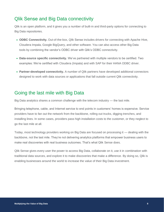# <span id="page-8-0"></span>Qlik Sense and Big Data connectivity

Qlik is an open platform, and it gives you a number of built-in and third-party options for connecting to Big Data repositories.

- **ODBC Connectivity.** Out-of-the-box, Qlik Sense includes drivers for connecting with Apache Hive, Cloudera Impala, Google BigQuery, and other software. You can also access other Big Data tools by combining the vendor's ODBC driver with Qlik's ODBC connectivity.
- **Data-source specific connectivity.** We've partnered with multiple vendors to be certified. Two examples: We're certified with Cloudera (Impala) and with SAP for their HANA ODBC driver.
- **Partner-developed connectivity.** A number of Qlik partners have developed additional connectors designed to work with data sources or applications that fall outside current Qlik connectivity.

# <span id="page-8-1"></span>Going the last mile with Big Data

Big Data analytics shares a common challenge with the telecom industry — the last mile.

Bringing telephone, cable, and Internet service to end points in customers' homes is expensive. Service providers have to fan out the network from the backbone, rolling out trucks, digging trenches, and installing lines. In some cases, providers pass high installation costs to the customer, or they neglect to go the last mile at all.

Today, most technology providers working on Big Data are focused on processing it — dealing with the backbone, not the last mile. They're not delivering analytics platforms that empower business users to make real discoveries with real business outcomes. That's what Qlik Sense does.

Qlik Sense gives every user the power to access Big Data, collaborate on it, use it in combination with traditional data sources, and explore it to make discoveries that make a difference. By doing so, Qlik is enabling businesses around the world to increase the value of their Big Data investment.